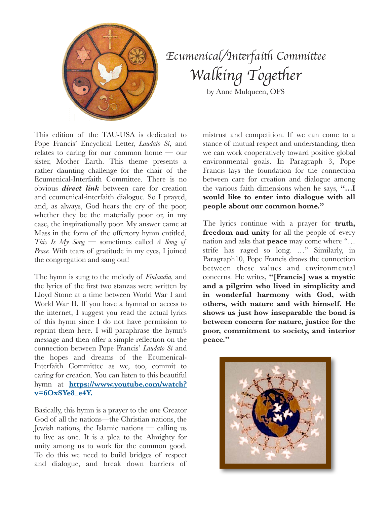

## *Ecumenical/In*t*rfai*t *Commi*t*ee Walking* Together

by Anne Mulqueen, OFS

This edition of the TAU-USA is dedicated to Pope Francis' Encyclical Letter, *Laudato Sí*, and relates to caring for our common home — our sister, Mother Earth. This theme presents a rather daunting challenge for the chair of the Ecumenical-Interfaith Committee. There is no obvious *direct link* between care for creation and ecumenical-interfaith dialogue. So I prayed, and, as always, God hears the cry of the poor, whether they be the materially poor or, in my case, the inspirationally poor. My answer came at Mass in the form of the offertory hymn entitled, *This Is My Song —* sometimes called *A Song of Peace.* With tears of gratitude in my eyes, I joined the congregation and sang out!

The hymn is sung to the melody of *Finlandia,* and the lyrics of the first two stanzas were written by Lloyd Stone at a time between World War I and World War II. If you have a hymnal or access to the internet, I suggest you read the actual lyrics of this hymn since I do not have permission to reprint them here. I will paraphrase the hymn's message and then offer a simple reflection on the connection between Pope Francis' *Laudato Sí* and the hopes and dreams of the Ecumenical-Interfaith Committee as we, too, commit to caring for creation. You can listen to this beautiful hymn at **https://www.youtube.com/watch? v=6OxSYe8\_e4Y.**

Basically, this hymn is a prayer to the one Creator God of all the nations—the Christian nations, the Jewish nations, the Islamic nations — calling us to live as one. It is a plea to the Almighty for unity among us to work for the common good. To do this we need to build bridges of respect and dialogue, and break down barriers of mistrust and competition. If we can come to a stance of mutual respect and understanding, then we can work cooperatively toward positive global environmental goals. In Paragraph 3, Pope Francis lays the foundation for the connection between care for creation and dialogue among the various faith dimensions when he says, **"…I would like to enter into dialogue with all people about our common home."**

The lyrics continue with a prayer for **truth, freedom and unity** for all the people of every nation and asks that **peace** may come where "… strife has raged so long. …" Similarly, in Paragraph10, Pope Francis draws the connection between these values and environmental concerns. He writes, **"[Francis] was a mystic and a pilgrim who lived in simplicity and in wonderful harmony with God, with others, with nature and with himself. He shows us just how inseparable the bond is between concern for nature, justice for the poor, commitment to society, and interior peace."**